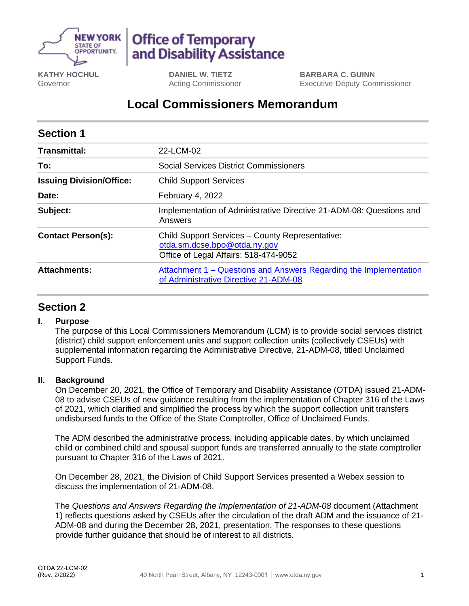

# **Office of Temporary** and Disability Assistance

**KATHY HOCHUL** Governor

**DANIEL W. TIETZ** Acting Commissioner **BARBARA C. GUINN** Executive Deputy Commissioner

## **Local Commissioners Memorandum**

| <b>Section 1</b>                |                                                                                                                          |
|---------------------------------|--------------------------------------------------------------------------------------------------------------------------|
| <b>Transmittal:</b>             | 22-LCM-02                                                                                                                |
| To:                             | <b>Social Services District Commissioners</b>                                                                            |
| <b>Issuing Division/Office:</b> | <b>Child Support Services</b>                                                                                            |
| Date:                           | February 4, 2022                                                                                                         |
| Subject:                        | Implementation of Administrative Directive 21-ADM-08: Questions and<br>Answers                                           |
| <b>Contact Person(s):</b>       | Child Support Services - County Representative:<br>otda.sm.dcse.bpo@otda.ny.gov<br>Office of Legal Affairs: 518-474-9052 |
| <b>Attachments:</b>             | Attachment 1 – Questions and Answers Regarding the Implementation<br>of Administrative Directive 21-ADM-08               |

### **Section 2**

#### **I. Purpose**

The purpose of this Local Commissioners Memorandum (LCM) is to provide social services district (district) child support enforcement units and support collection units (collectively CSEUs) with supplemental information regarding the Administrative Directive, 21-ADM-08, titled Unclaimed Support Funds.

#### **II. Background**

On December 20, 2021, the Office of Temporary and Disability Assistance (OTDA) issued 21-ADM-08 to advise CSEUs of new guidance resulting from the implementation of Chapter 316 of the Laws of 2021, which clarified and simplified the process by which the support collection unit transfers undisbursed funds to the Office of the State Comptroller, Office of Unclaimed Funds.

The ADM described the administrative process, including applicable dates, by which unclaimed child or combined child and spousal support funds are transferred annually to the state comptroller pursuant to Chapter 316 of the Laws of 2021.

On December 28, 2021, the Division of Child Support Services presented a Webex session to discuss the implementation of 21-ADM-08.

The *Questions and Answers Regarding the Implementation of 21-ADM-08* document (Attachment 1) reflects questions asked by CSEUs after the circulation of the draft ADM and the issuance of 21- ADM-08 and during the December 28, 2021, presentation. The responses to these questions provide further guidance that should be of interest to all districts.